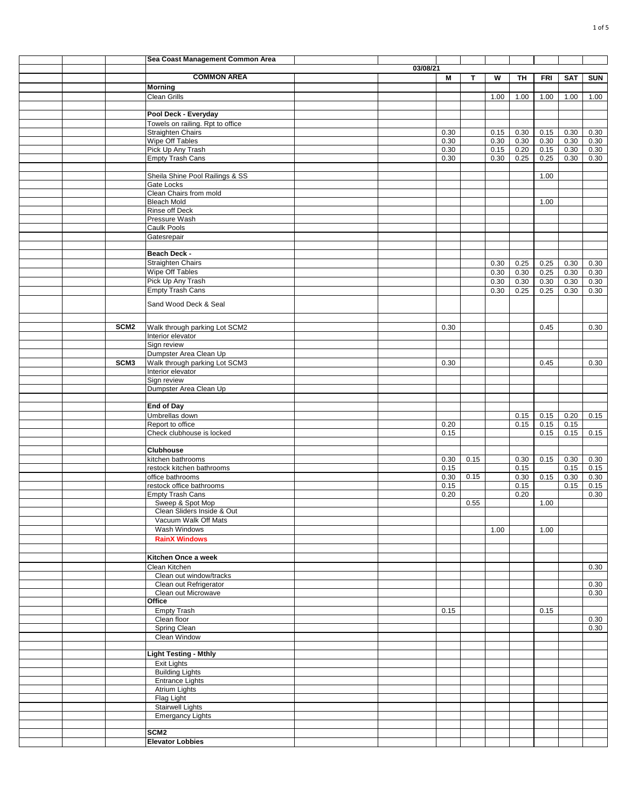|  |                  | Sea Coast Management Common Area                   |          |              |      |              |              |              |              |              |
|--|------------------|----------------------------------------------------|----------|--------------|------|--------------|--------------|--------------|--------------|--------------|
|  |                  |                                                    | 03/08/21 |              |      |              |              |              |              |              |
|  |                  | <b>COMMON AREA</b>                                 |          | M            | т    | W            | TH           | <b>FRI</b>   | <b>SAT</b>   | <b>SUN</b>   |
|  |                  | <b>Morning</b><br><b>Clean Grills</b>              |          |              |      |              |              |              |              |              |
|  |                  |                                                    |          |              |      | 1.00         | 1.00         | 1.00         | 1.00         | 1.00         |
|  |                  | Pool Deck - Everyday                               |          |              |      |              |              |              |              |              |
|  |                  | Towels on railing. Rpt to office                   |          |              |      |              |              |              |              |              |
|  |                  | <b>Straighten Chairs</b>                           |          | 0.30         |      | 0.15         | 0.30         | 0.15         | 0.30         | 0.30         |
|  |                  | Wipe Off Tables                                    |          | 0.30         |      | 0.30         | 0.30         | 0.30         | 0.30         | 0.30         |
|  |                  | Pick Up Any Trash<br><b>Empty Trash Cans</b>       |          | 0.30<br>0.30 |      | 0.15<br>0.30 | 0.20<br>0.25 | 0.15<br>0.25 | 0.30<br>0.30 | 0.30<br>0.30 |
|  |                  |                                                    |          |              |      |              |              |              |              |              |
|  |                  | Sheila Shine Pool Railings & SS                    |          |              |      |              |              | 1.00         |              |              |
|  |                  | Gate Locks                                         |          |              |      |              |              |              |              |              |
|  |                  | Clean Chairs from mold<br><b>Bleach Mold</b>       |          |              |      |              |              |              |              |              |
|  |                  | Rinse off Deck                                     |          |              |      |              |              | 1.00         |              |              |
|  |                  | Pressure Wash                                      |          |              |      |              |              |              |              |              |
|  |                  | Caulk Pools                                        |          |              |      |              |              |              |              |              |
|  |                  | Gatesrepair                                        |          |              |      |              |              |              |              |              |
|  |                  |                                                    |          |              |      |              |              |              |              |              |
|  |                  | Beach Deck -<br><b>Straighten Chairs</b>           |          |              |      | 0.30         | 0.25         | 0.25         | 0.30         | 0.30         |
|  |                  | Wipe Off Tables                                    |          |              |      | 0.30         | 0.30         | 0.25         | 0.30         | 0.30         |
|  |                  | Pick Up Any Trash                                  |          |              |      | 0.30         | 0.30         | 0.30         | 0.30         | 0.30         |
|  |                  | <b>Empty Trash Cans</b>                            |          |              |      | 0.30         | 0.25         | 0.25         | 0.30         | 0.30         |
|  |                  | Sand Wood Deck & Seal                              |          |              |      |              |              |              |              |              |
|  |                  |                                                    |          |              |      |              |              |              |              |              |
|  |                  |                                                    |          |              |      |              |              |              |              |              |
|  | SCM <sub>2</sub> | Walk through parking Lot SCM2<br>Interior elevator |          | 0.30         |      |              |              | 0.45         |              | 0.30         |
|  |                  | Sign review                                        |          |              |      |              |              |              |              |              |
|  |                  | Dumpster Area Clean Up                             |          |              |      |              |              |              |              |              |
|  | SCM <sub>3</sub> | Walk through parking Lot SCM3                      |          | 0.30         |      |              |              | 0.45         |              | 0.30         |
|  |                  | Interior elevator                                  |          |              |      |              |              |              |              |              |
|  |                  | Sign review<br>Dumpster Area Clean Up              |          |              |      |              |              |              |              |              |
|  |                  |                                                    |          |              |      |              |              |              |              |              |
|  |                  | <b>End of Day</b>                                  |          |              |      |              |              |              |              |              |
|  |                  | Umbrellas down                                     |          |              |      |              | 0.15         | 0.15         | 0.20         | 0.15         |
|  |                  | Report to office                                   |          | 0.20         |      |              | 0.15         | 0.15         | 0.15         |              |
|  |                  | Check clubhouse is locked                          |          | 0.15         |      |              |              | 0.15         | 0.15         | 0.15         |
|  |                  | <b>Clubhouse</b>                                   |          |              |      |              |              |              |              |              |
|  |                  | kitchen bathrooms                                  |          | 0.30         | 0.15 |              | 0.30         | 0.15         | 0.30         | 0.30         |
|  |                  | restock kitchen bathrooms                          |          | 0.15         |      |              | 0.15         |              | 0.15         | 0.15         |
|  |                  | office bathrooms                                   |          | 0.30         | 0.15 |              | 0.30         | 0.15         | 0.30         | 0.30         |
|  |                  | restock office bathrooms                           |          | 0.15         |      |              | 0.15         |              | 0.15         | 0.15         |
|  |                  | <b>Empty Trash Cans</b><br>Sweep & Spot Mop        |          | 0.20         | 0.55 |              | 0.20         | 1.00         |              | 0.30         |
|  |                  | Clean Sliders Inside & Out                         |          |              |      |              |              |              |              |              |
|  |                  | Vacuum Walk Off Mats                               |          |              |      |              |              |              |              |              |
|  |                  | Wash Windows                                       |          |              |      | 1.00         |              | 1.00         |              |              |
|  |                  | <b>RainX Windows</b>                               |          |              |      |              |              |              |              |              |
|  |                  | Kitchen Once a week                                |          |              |      |              |              |              |              |              |
|  |                  | Clean Kitchen                                      |          |              |      |              |              |              |              | 0.30         |
|  |                  | Clean out window/tracks                            |          |              |      |              |              |              |              |              |
|  |                  | Clean out Refrigerator                             |          |              |      |              |              |              |              | 0.30         |
|  |                  | Clean out Microwave                                |          |              |      |              |              |              |              | 0.30         |
|  |                  | Office                                             |          |              |      |              |              |              |              |              |
|  |                  | <b>Empty Trash</b><br>Clean floor                  |          | 0.15         |      |              |              | 0.15         |              | 0.30         |
|  |                  | Spring Clean                                       |          |              |      |              |              |              |              | 0.30         |
|  |                  | Clean Window                                       |          |              |      |              |              |              |              |              |
|  |                  |                                                    |          |              |      |              |              |              |              |              |
|  |                  | <b>Light Testing - Mthly</b>                       |          |              |      |              |              |              |              |              |
|  |                  | Exit Lights<br><b>Building Lights</b>              |          |              |      |              |              |              |              |              |
|  |                  | <b>Entrance Lights</b>                             |          |              |      |              |              |              |              |              |
|  |                  | <b>Atrium Lights</b>                               |          |              |      |              |              |              |              |              |
|  |                  | Flag Light                                         |          |              |      |              |              |              |              |              |
|  |                  | <b>Stairwell Lights</b>                            |          |              |      |              |              |              |              |              |
|  |                  | <b>Emergancy Lights</b>                            |          |              |      |              |              |              |              |              |
|  |                  | SCM <sub>2</sub>                                   |          |              |      |              |              |              |              |              |
|  |                  | <b>Elevator Lobbies</b>                            |          |              |      |              |              |              |              |              |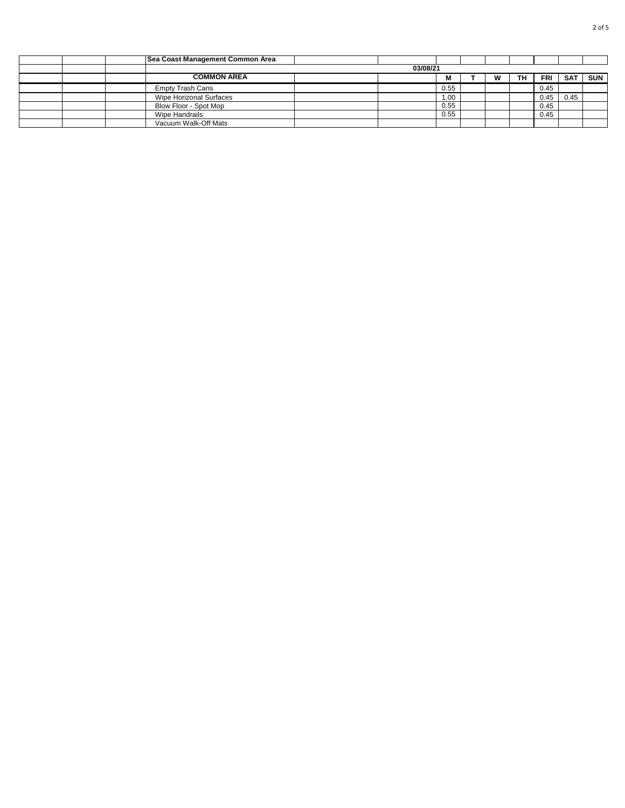|  | <b>Sea Coast Management Common Area</b> |  |  |      |  |   |    |            |            |            |  |  |
|--|-----------------------------------------|--|--|------|--|---|----|------------|------------|------------|--|--|
|  | 03/08/21                                |  |  |      |  |   |    |            |            |            |  |  |
|  | <b>COMMON AREA</b>                      |  |  | M    |  | W | TН | <b>FRI</b> | <b>SAT</b> | <b>SUN</b> |  |  |
|  | <b>Empty Trash Cans</b>                 |  |  | 0.55 |  |   |    | 0.45       |            |            |  |  |
|  | Wipe Horizonal Surfaces                 |  |  | 1.00 |  |   |    | 0.45       | 0.45       |            |  |  |
|  | Blow Floor - Spot Mop                   |  |  | 0.55 |  |   |    | 0.45       |            |            |  |  |
|  | Wipe Handrails                          |  |  | 0.55 |  |   |    | 0.45       |            |            |  |  |
|  | Vacuum Walk-Off Mats                    |  |  |      |  |   |    |            |            |            |  |  |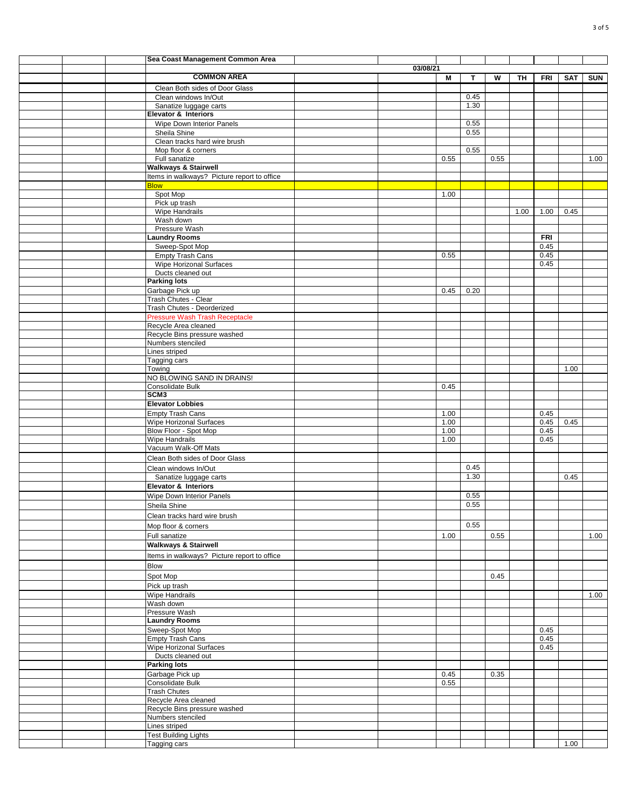|  | Sea Coast Management Common Area            |          |      |      |      |      |            |      |            |
|--|---------------------------------------------|----------|------|------|------|------|------------|------|------------|
|  |                                             | 03/08/21 |      |      |      |      |            |      |            |
|  | <b>COMMON AREA</b>                          |          | М    | Т    | W    | TH   | FRI        | SAT  | <b>SUN</b> |
|  | Clean Both sides of Door Glass              |          |      |      |      |      |            |      |            |
|  | Clean windows In/Out                        |          |      | 0.45 |      |      |            |      |            |
|  | Sanatize luggage carts                      |          |      | 1.30 |      |      |            |      |            |
|  | <b>Elevator &amp; Interiors</b>             |          |      |      |      |      |            |      |            |
|  | Wipe Down Interior Panels                   |          |      | 0.55 |      |      |            |      |            |
|  | Sheila Shine                                |          |      | 0.55 |      |      |            |      |            |
|  | Clean tracks hard wire brush                |          |      |      |      |      |            |      |            |
|  | Mop floor & corners                         |          |      | 0.55 |      |      |            |      |            |
|  | Full sanatize                               |          | 0.55 |      | 0.55 |      |            |      | 1.00       |
|  | <b>Walkways &amp; Stairwell</b>             |          |      |      |      |      |            |      |            |
|  | Items in walkways? Picture report to office |          |      |      |      |      |            |      |            |
|  | <b>Blow</b>                                 |          |      |      |      |      |            |      |            |
|  | Spot Mop                                    |          | 1.00 |      |      |      |            |      |            |
|  | Pick up trash                               |          |      |      |      |      |            |      |            |
|  | Wipe Handrails                              |          |      |      |      | 1.00 | 1.00       | 0.45 |            |
|  | Wash down                                   |          |      |      |      |      |            |      |            |
|  | Pressure Wash                               |          |      |      |      |      |            |      |            |
|  | <b>Laundry Rooms</b>                        |          |      |      |      |      | <b>FRI</b> |      |            |
|  | Sweep-Spot Mop                              |          |      |      |      |      | 0.45       |      |            |
|  | <b>Empty Trash Cans</b>                     |          | 0.55 |      |      |      | 0.45       |      |            |
|  | Wipe Horizonal Surfaces                     |          |      |      |      |      | 0.45       |      |            |
|  | Ducts cleaned out                           |          |      |      |      |      |            |      |            |
|  | <b>Parking lots</b>                         |          |      |      |      |      |            |      |            |
|  | Garbage Pick up                             |          | 0.45 | 0.20 |      |      |            |      |            |
|  | Trash Chutes - Clear                        |          |      |      |      |      |            |      |            |
|  | Trash Chutes - Deorderized                  |          |      |      |      |      |            |      |            |
|  | <b>Pressure Wash Trash Receptacle</b>       |          |      |      |      |      |            |      |            |
|  | Recycle Area cleaned                        |          |      |      |      |      |            |      |            |
|  | Recycle Bins pressure washed                |          |      |      |      |      |            |      |            |
|  | Numbers stenciled                           |          |      |      |      |      |            |      |            |
|  | Lines striped                               |          |      |      |      |      |            |      |            |
|  | Tagging cars                                |          |      |      |      |      |            |      |            |
|  | Towing                                      |          |      |      |      |      |            | 1.00 |            |
|  | NO BLOWING SAND IN DRAINS!                  |          |      |      |      |      |            |      |            |
|  | Consolidate Bulk                            |          | 0.45 |      |      |      |            |      |            |
|  | SCM <sub>3</sub>                            |          |      |      |      |      |            |      |            |
|  | <b>Elevator Lobbies</b>                     |          |      |      |      |      |            |      |            |
|  | <b>Empty Trash Cans</b>                     |          | 1.00 |      |      |      | 0.45       |      |            |
|  | <b>Wipe Horizonal Surfaces</b>              |          | 1.00 |      |      |      | 0.45       | 0.45 |            |
|  | Blow Floor - Spot Mop                       |          | 1.00 |      |      |      | 0.45       |      |            |
|  | Wipe Handrails                              |          | 1.00 |      |      |      | 0.45       |      |            |
|  | Vacuum Walk-Off Mats                        |          |      |      |      |      |            |      |            |
|  | Clean Both sides of Door Glass              |          |      |      |      |      |            |      |            |
|  |                                             |          |      | 0.45 |      |      |            |      |            |
|  | Clean windows In/Out                        |          |      | 1.30 |      |      |            |      |            |
|  | Sanatize luggage carts                      |          |      |      |      |      |            | 0.45 |            |
|  | Elevator & Interiors                        |          |      |      |      |      |            |      |            |
|  | Wipe Down Interior Panels                   |          |      | 0.55 |      |      |            |      |            |
|  | Sheila Shine                                |          |      | 0.55 |      |      |            |      |            |
|  | Clean tracks hard wire brush                |          |      |      |      |      |            |      |            |
|  | Mop floor & corners                         |          |      | 0.55 |      |      |            |      |            |
|  | Full sanatize                               |          | 1.00 |      | 0.55 |      |            |      | 1.00       |
|  | <b>Walkways &amp; Stairwell</b>             |          |      |      |      |      |            |      |            |
|  | Items in walkways? Picture report to office |          |      |      |      |      |            |      |            |
|  | Blow                                        |          |      |      |      |      |            |      |            |
|  |                                             |          |      |      |      |      |            |      |            |
|  | Spot Mop                                    |          |      |      | 0.45 |      |            |      |            |
|  | Pick up trash                               |          |      |      |      |      |            |      |            |
|  | Wipe Handrails                              |          |      |      |      |      |            |      | 1.00       |
|  | Wash down                                   |          |      |      |      |      |            |      |            |
|  | Pressure Wash                               |          |      |      |      |      |            |      |            |
|  | <b>Laundry Rooms</b>                        |          |      |      |      |      |            |      |            |
|  | Sweep-Spot Mop                              |          |      |      |      |      | 0.45       |      |            |
|  | <b>Empty Trash Cans</b>                     |          |      |      |      |      | 0.45       |      |            |
|  | <b>Wipe Horizonal Surfaces</b>              |          |      |      |      |      | 0.45       |      |            |
|  | Ducts cleaned out                           |          |      |      |      |      |            |      |            |
|  | <b>Parking lots</b>                         |          |      |      |      |      |            |      |            |
|  | Garbage Pick up                             |          | 0.45 |      | 0.35 |      |            |      |            |
|  | Consolidate Bulk                            |          | 0.55 |      |      |      |            |      |            |
|  | <b>Trash Chutes</b>                         |          |      |      |      |      |            |      |            |
|  | Recycle Area cleaned                        |          |      |      |      |      |            |      |            |
|  | Recycle Bins pressure washed                |          |      |      |      |      |            |      |            |
|  | Numbers stenciled                           |          |      |      |      |      |            |      |            |
|  | Lines striped                               |          |      |      |      |      |            |      |            |
|  | <b>Test Building Lights</b>                 |          |      |      |      |      |            |      |            |
|  | Tagging cars                                |          |      |      |      |      |            | 1.00 |            |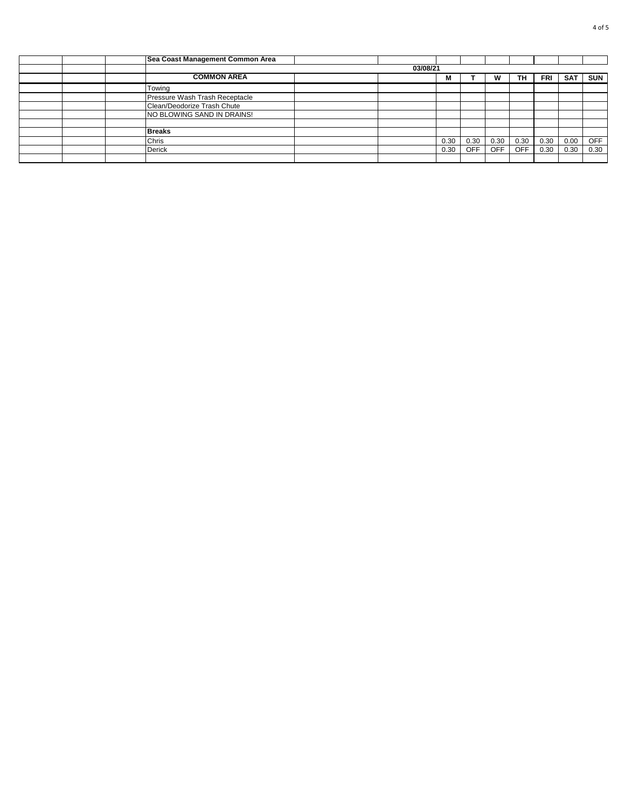|  | Sea Coast Management Common Area |  |  |      |            |            |            |            |            |            |  |  |  |
|--|----------------------------------|--|--|------|------------|------------|------------|------------|------------|------------|--|--|--|
|  | 03/08/21                         |  |  |      |            |            |            |            |            |            |  |  |  |
|  | <b>COMMON AREA</b>               |  |  | M    |            |            | TН         | <b>FRI</b> | <b>SAT</b> | <b>SUN</b> |  |  |  |
|  | Towing                           |  |  |      |            |            |            |            |            |            |  |  |  |
|  | Pressure Wash Trash Receptacle   |  |  |      |            |            |            |            |            |            |  |  |  |
|  | Clean/Deodorize Trash Chute      |  |  |      |            |            |            |            |            |            |  |  |  |
|  | NO BLOWING SAND IN DRAINS!       |  |  |      |            |            |            |            |            |            |  |  |  |
|  |                                  |  |  |      |            |            |            |            |            |            |  |  |  |
|  | <b>Breaks</b>                    |  |  |      |            |            |            |            |            |            |  |  |  |
|  | Chris                            |  |  | 0.30 | 0.30       | 0.30       | 0.30       | 0.30       | 0.00       | <b>OFF</b> |  |  |  |
|  | <b>Derick</b>                    |  |  | 0.30 | <b>OFF</b> | <b>OFF</b> | <b>OFF</b> | 0.30       | 0.30       | 0.30       |  |  |  |
|  |                                  |  |  |      |            |            |            |            |            |            |  |  |  |